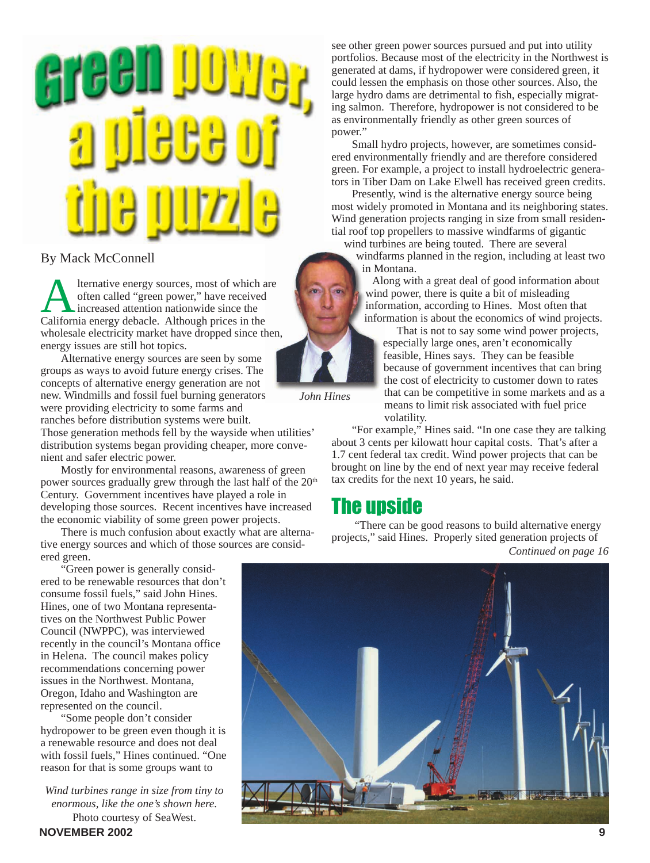

### By Mack McConnell

Alternative energy sources, most of which are often called "green power," have received increased attention nationwide since the California energy debacle. Although prices in the wholesale electricity market have dropped since then, energy issues are still hot topics.

Alternative energy sources are seen by some groups as ways to avoid future energy crises. The concepts of alternative energy generation are not new. Windmills and fossil fuel burning generators were providing electricity to some farms and ranches before distribution systems were built.

Those generation methods fell by the wayside when utilities' distribution systems began providing cheaper, more convenient and safer electric power.

Mostly for environmental reasons, awareness of green power sources gradually grew through the last half of the 20<sup>th</sup> Century. Government incentives have played a role in developing those sources. Recent incentives have increased the economic viability of some green power projects.

There is much confusion about exactly what are alternative energy sources and which of those sources are considered green.

"Green power is generally considered to be renewable resources that don't consume fossil fuels," said John Hines. Hines, one of two Montana representatives on the Northwest Public Power Council (NWPPC), was interviewed recently in the council's Montana office in Helena. The council makes policy recommendations concerning power issues in the Northwest. Montana, Oregon, Idaho and Washington are represented on the council.

"Some people don't consider hydropower to be green even though it is a renewable resource and does not deal with fossil fuels," Hines continued. "One reason for that is some groups want to

*Wind turbines range in size from tiny to enormous, like the one's shown here.* Photo courtesy of SeaWest.

see other green power sources pursued and put into utility portfolios. Because most of the electricity in the Northwest is generated at dams, if hydropower were considered green, it could lessen the emphasis on those other sources. Also, the large hydro dams are detrimental to fish, especially migrating salmon. Therefore, hydropower is not considered to be as environmentally friendly as other green sources of power."

Small hydro projects, however, are sometimes considered environmentally friendly and are therefore considered green. For example, a project to install hydroelectric generators in Tiber Dam on Lake Elwell has received green credits.

Presently, wind is the alternative energy source being most widely promoted in Montana and its neighboring states. Wind generation projects ranging in size from small residential roof top propellers to massive windfarms of gigantic

wind turbines are being touted. There are several windfarms planned in the region, including at least two in Montana.

Along with a great deal of good information about wind power, there is quite a bit of misleading information, according to Hines. Most often that information is about the economics of wind projects.

 That is not to say some wind power projects, especially large ones, aren't economically feasible, Hines says. They can be feasible because of government incentives that can bring the cost of electricity to customer down to rates that can be competitive in some markets and as a means to limit risk associated with fuel price volatility.

"For example," Hines said. "In one case they are talking about 3 cents per kilowatt hour capital costs. That's after a 1.7 cent federal tax credit. Wind power projects that can be brought on line by the end of next year may receive federal tax credits for the next 10 years, he said.

## The upside

*John Hines*

*Continued on page 16* "There can be good reasons to build alternative energy projects," said Hines. Properly sited generation projects of